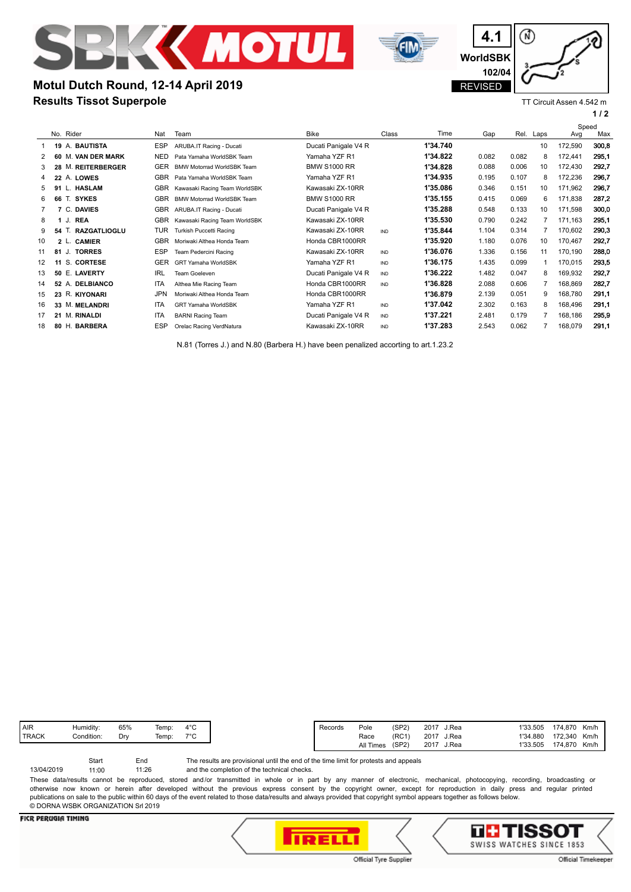



# **Results Tissot Superpole Motul Dutch Round, 12-14 April 2019**



⋒

**4.1**

TT Circuit Assen 4.542 m

**1 / 2**

|                   |    | No. Rider                    | Nat        | Team                              | <b>Bike</b>          | Class      | Time     | Gap   | Rel.  | Laps           | Speed<br>Avg | Max   |
|-------------------|----|------------------------------|------------|-----------------------------------|----------------------|------------|----------|-------|-------|----------------|--------------|-------|
|                   |    | 19 A. BAUTISTA               | <b>ESP</b> | ARUBA.IT Racing - Ducati          | Ducati Panigale V4 R |            | 1'34.740 |       |       | 10             | 172,590      | 300.8 |
| 2                 | 60 | <b>VAN DER MARK</b><br>M.    | <b>NED</b> | Pata Yamaha WorldSBK Team         | Yamaha YZF R1        |            | 1'34.822 | 0.082 | 0.082 | 8              | 172,441      | 295,1 |
| 3                 | 28 | <b>M. REITERBERGER</b>       | GER        | <b>BMW Motorrad WorldSBK Team</b> | <b>BMW S1000 RR</b>  |            | 1'34.828 | 0.088 | 0.006 | 10             | 172,430      | 292,7 |
| 4                 |    | 22 A. LOWES                  | <b>GBR</b> | Pata Yamaha WorldSBK Team         | Yamaha YZF R1        |            | 1'34.935 | 0.195 | 0.107 | 8              | 172,236      | 296,7 |
| 5                 |    | <b>HASLAM</b>                | <b>GBR</b> | Kawasaki Racing Team WorldSBK     | Kawasaki ZX-10RR     |            | 1'35.086 | 0.346 | 0.151 | 10             | 171,962      | 296,7 |
| 6                 | 66 | T. SYKES                     | <b>GBR</b> | <b>BMW Motorrad WorldSBK Team</b> | <b>BMW S1000 RR</b>  |            | 1'35.155 | 0.415 | 0.069 | 6              | 171,838      | 287.2 |
|                   |    | 7 C. DAVIES                  | <b>GBR</b> | ARUBA.IT Racing - Ducati          | Ducati Panigale V4 R |            | 1'35.288 | 0.548 | 0.133 | 10             | 171,598      | 300,0 |
| 8                 |    | <b>REA</b><br>J.             | <b>GBR</b> | Kawasaki Racing Team WorldSBK     | Kawasaki ZX-10RR     |            | 1'35.530 | 0.790 | 0.242 | $\overline{7}$ | 171,163      | 295,1 |
| 9                 |    | 54 T.<br><b>RAZGATLIOGLU</b> | <b>TUR</b> | Turkish Puccetti Racing           | Kawasaki ZX-10RR     | <b>IND</b> | 1'35.844 | 1.104 | 0.314 | 7              | 170,602      | 290.3 |
| 10                |    | 2 L. CAMIER                  | <b>GBR</b> | Moriwaki Althea Honda Team        | Honda CBR1000RR      |            | 1'35.920 | 1.180 | 0.076 | 10             | 170,467      | 292,7 |
| 11                | 81 | <b>TORRES</b><br>J.          | <b>ESP</b> | Team Pedercini Racing             | Kawasaki ZX-10RR     | <b>IND</b> | 1'36.076 | 1.336 | 0.156 | 11             | 170,190      | 288,0 |
| $12 \overline{ }$ | 11 | S. CORTESE                   | <b>GER</b> | <b>GRT Yamaha WorldSBK</b>        | Yamaha YZF R1        | <b>IND</b> | 1'36.175 | 1.435 | 0.099 |                | 170,015      | 293.5 |
| 13                |    | 50 E. LAVERTY                | <b>IRL</b> | Team Goeleven                     | Ducati Panigale V4 R | <b>IND</b> | 1'36.222 | 1.482 | 0.047 | 8              | 169,932      | 292,7 |
| 14                |    | 52 A. DELBIANCO              | <b>ITA</b> | Althea Mie Racing Team            | Honda CBR1000RR      | <b>IND</b> | 1'36.828 | 2.088 | 0.606 | 7              | 168,869      | 282,7 |
| 15                |    | 23 R. KIYONARI               | <b>JPN</b> | Moriwaki Althea Honda Team        | Honda CBR1000RR      |            | 1'36.879 | 2.139 | 0.051 | 9              | 168,780      | 291,1 |
| 16                |    | 33 M. MELANDRI               | <b>ITA</b> | <b>GRT Yamaha WorldSBK</b>        | Yamaha YZF R1        | <b>IND</b> | 1'37.042 | 2.302 | 0.163 | 8              | 168,496      | 291,1 |
| 17                |    | 21 M. RINALDI                | <b>ITA</b> | <b>BARNI Racing Team</b>          | Ducati Panigale V4 R | <b>IND</b> | 1'37.221 | 2.481 | 0.179 | 7              | 168,186      | 295,9 |
| 18                | 80 | Η.<br><b>BARBERA</b>         | <b>ESP</b> | Orelac Racing VerdNatura          | Kawasaki ZX-10RR     | <b>IND</b> | 1'37.283 | 2.543 | 0.062 |                | 168,079      | 291,1 |
|                   |    |                              |            |                                   |                      |            |          |       |       |                |              |       |

N.81 (Torres J.) and N.80 (Barbera H.) have been penalized accorting to art.1.23.2

| AIR          | Humidity:  | 65% | Temp: | $4^{\circ}$ C |
|--------------|------------|-----|-------|---------------|
| <b>TRACK</b> | Condition: | Drv | Temp: | 700           |
|              |            |     |       |               |

The results are provisional until the end of the time limit for protests and appeals Start End

and the completion of the technical checks. 11:26 13/04/2019 11:00

These data/results cannot be reproduced, stored and/or transmitted in whole or in part by any manner of electronic, mechanical, photocopying, recording, broadcasting or otherwise now known or herein after developed without the previous express consent by the copyright owner, except for reproduction in daily press and regular printed publications on sale to the public within 60 days of the event related to those data/results and always provided that copyright symbol appears together as follows below. © DORNA WSBK ORGANIZATION Srl 2019

#### **FICR PERUGIA TIMING**